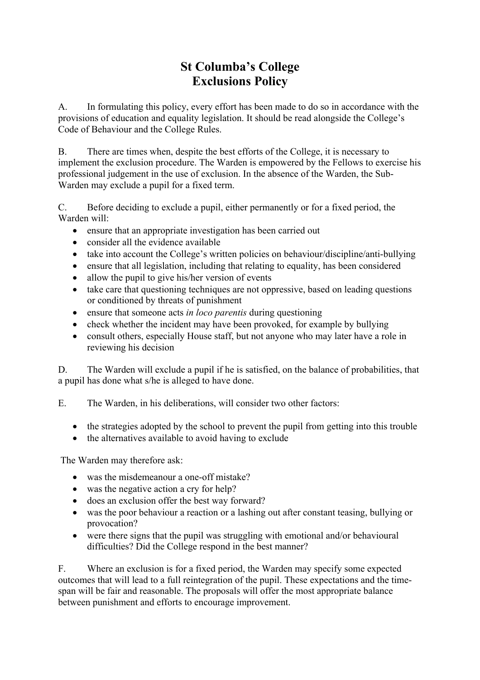## **St Columba's College Exclusions Policy**

A. In formulating this policy, every effort has been made to do so in accordance with the provisions of education and equality legislation. It should be read alongside the College's Code of Behaviour and the College Rules.

B. There are times when, despite the best efforts of the College, it is necessary to implement the exclusion procedure. The Warden is empowered by the Fellows to exercise his professional judgement in the use of exclusion. In the absence of the Warden, the Sub-Warden may exclude a pupil for a fixed term.

C. Before deciding to exclude a pupil, either permanently or for a fixed period, the Warden will:

- ensure that an appropriate investigation has been carried out
- consider all the evidence available
- take into account the College's written policies on behaviour/discipline/anti-bullying
- ensure that all legislation, including that relating to equality, has been considered
- allow the pupil to give his/her version of events
- take care that questioning techniques are not oppressive, based on leading questions or conditioned by threats of punishment
- ensure that someone acts *in loco parentis* during questioning
- check whether the incident may have been provoked, for example by bullying
- consult others, especially House staff, but not anyone who may later have a role in reviewing his decision

D. The Warden will exclude a pupil if he is satisfied, on the balance of probabilities, that a pupil has done what s/he is alleged to have done.

E. The Warden, in his deliberations, will consider two other factors:

- the strategies adopted by the school to prevent the pupil from getting into this trouble
- the alternatives available to avoid having to exclude

The Warden may therefore ask:

- was the misdemeanour a one-off mistake?
- was the negative action a cry for help?
- does an exclusion offer the best way forward?
- was the poor behaviour a reaction or a lashing out after constant teasing, bullying or provocation?
- were there signs that the pupil was struggling with emotional and/or behavioural difficulties? Did the College respond in the best manner?

F. Where an exclusion is for a fixed period, the Warden may specify some expected outcomes that will lead to a full reintegration of the pupil. These expectations and the timespan will be fair and reasonable. The proposals will offer the most appropriate balance between punishment and efforts to encourage improvement.